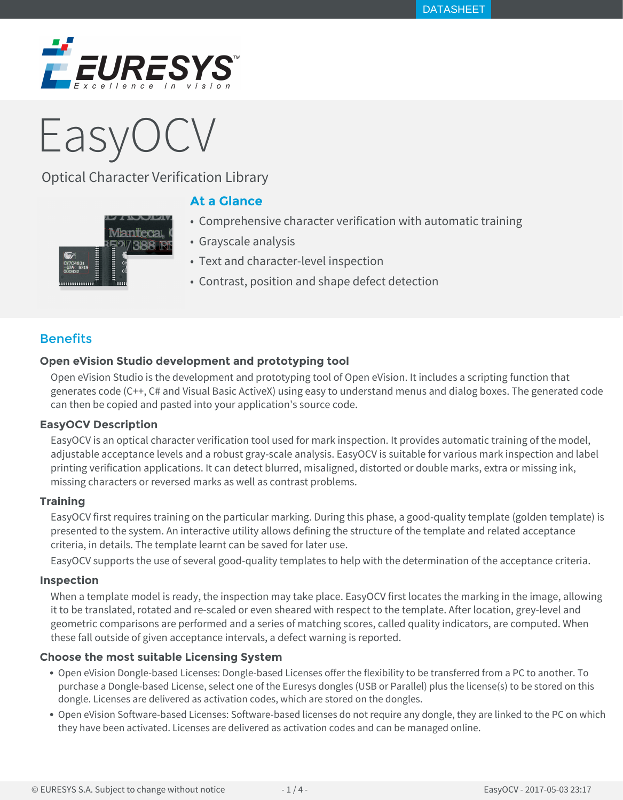

# Lasy

Optical Character Verification Library

# **At a Glance**



- Comprehensive character verification with automatic training
- ș Grayscale analysis
- Text and character-level inspection
- Contrast, position and shape defect detection

# **Benefits**

# **Open eVision Studio development and prototyping tool**

Open eVision Studio is the development and prototyping tool of Open eVision. It includes a scripting function that generates code (C++, C# and Visual Basic ActiveX) using easy to understand menus and dialog boxes. The generated code can then be copied and pasted into your application's source code.

# **EasyOCV Description**

EasyOCV is an optical character verification tool used for mark inspection. It provides automatic training of the model, adjustable acceptance levels and a robust gray-scale analysis. EasyOCV is suitable for various mark inspection and label printing verification applications. It can detect blurred, misaligned, distorted or double marks, extra or missing ink, missing characters or reversed marks as well as contrast problems.

# **Training**

EasyOCV first requires training on the particular marking. During this phase, a good-quality template (golden template) is presented to the system. An interactive utility allows defining the structure of the template and related acceptance criteria, in details. The template learnt can be saved for later use.

EasyOCV supports the use of several good-quality templates to help with the determination of the acceptance criteria.

# **Inspection**

When a template model is ready, the inspection may take place. EasyOCV first locates the marking in the image, allowing it to be translated, rotated and re-scaled or even sheared with respect to the template. After location, grey-level and geometric comparisons are performed and a series of matching scores, called quality indicators, are computed. When these fall outside of given acceptance intervals, a defect warning is reported.

# **Choose the most suitable Licensing System**

- Open eVision Dongle-based Licenses: Dongle-based Licenses offer the flexibility to be transferred from a PC to another. To purchase a Dongle-based License, select one of the Euresys dongles (USB or Parallel) plus the license(s) to be stored on this dongle. Licenses are delivered as activation codes, which are stored on the dongles.
- Open eVision Software-based Licenses: Software-based licenses do not require any dongle, they are linked to the PC on which they have been activated. Licenses are delivered as activation codes and can be managed online.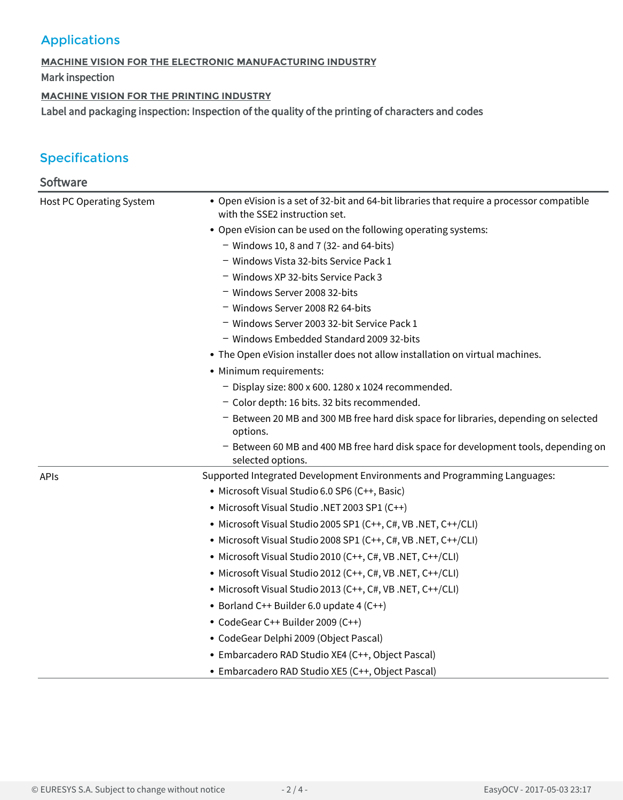# Applications

### **MACHINE VISION FOR THE ELECTRONIC MANUFACTURING INDUSTRY**

Mark inspection

# **MACHINE VISION FOR THE PRINTING INDUSTRY**

Label and packaging inspection: Inspection of the quality of the printing of characters and codes

# Specifications

| <b>Software</b>                 |                                                                                                                              |
|---------------------------------|------------------------------------------------------------------------------------------------------------------------------|
| <b>Host PC Operating System</b> | • Open eVision is a set of 32-bit and 64-bit libraries that require a processor compatible<br>with the SSE2 instruction set. |
|                                 | • Open eVision can be used on the following operating systems:                                                               |
|                                 | $-$ Windows 10, 8 and 7 (32- and 64-bits)                                                                                    |
|                                 | - Windows Vista 32-bits Service Pack 1                                                                                       |
|                                 | - Windows XP 32-bits Service Pack 3                                                                                          |
|                                 | - Windows Server 2008 32-bits                                                                                                |
|                                 | - Windows Server 2008 R2 64-bits                                                                                             |
|                                 | - Windows Server 2003 32-bit Service Pack 1                                                                                  |
|                                 | - Windows Embedded Standard 2009 32-bits                                                                                     |
|                                 | • The Open eVision installer does not allow installation on virtual machines.                                                |
|                                 | • Minimum requirements:                                                                                                      |
|                                 | - Display size: 800 x 600. 1280 x 1024 recommended.                                                                          |
|                                 | - Color depth: 16 bits. 32 bits recommended.                                                                                 |
|                                 | - Between 20 MB and 300 MB free hard disk space for libraries, depending on selected<br>options.                             |
|                                 | - Between 60 MB and 400 MB free hard disk space for development tools, depending on<br>selected options.                     |
| <b>APIs</b>                     | Supported Integrated Development Environments and Programming Languages:                                                     |
|                                 | • Microsoft Visual Studio 6.0 SP6 (C++, Basic)                                                                               |
|                                 | • Microsoft Visual Studio .NET 2003 SP1 (C++)                                                                                |
|                                 | • Microsoft Visual Studio 2005 SP1 (C++, C#, VB .NET, C++/CLI)                                                               |
|                                 | • Microsoft Visual Studio 2008 SP1 (C++, C#, VB .NET, C++/CLI)                                                               |
|                                 | • Microsoft Visual Studio 2010 (C++, C#, VB .NET, C++/CLI)                                                                   |
|                                 | • Microsoft Visual Studio 2012 (C++, C#, VB .NET, C++/CLI)                                                                   |
|                                 | • Microsoft Visual Studio 2013 (C++, C#, VB .NET, C++/CLI)                                                                   |
|                                 | • Borland C++ Builder 6.0 update 4 (C++)                                                                                     |
|                                 | • CodeGear C++ Builder 2009 (C++)                                                                                            |
|                                 | • CodeGear Delphi 2009 (Object Pascal)                                                                                       |
|                                 | • Embarcadero RAD Studio XE4 (C++, Object Pascal)                                                                            |
|                                 | • Embarcadero RAD Studio XE5 (C++, Object Pascal)                                                                            |
|                                 |                                                                                                                              |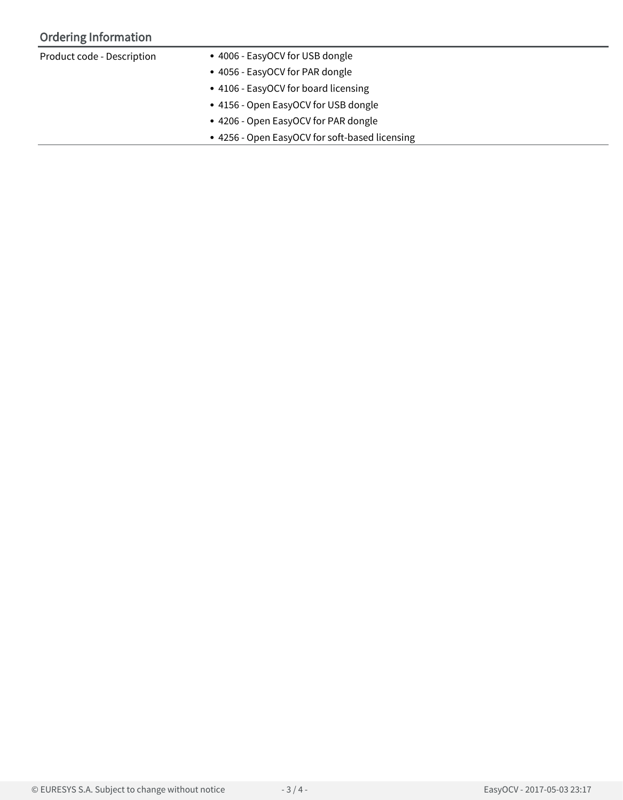# Ordering Information

| • 4006 - EasyOCV for USB dongle                |  |
|------------------------------------------------|--|
| • 4056 - EasyOCV for PAR dongle                |  |
| • 4106 - EasyOCV for board licensing           |  |
| • 4156 - Open EasyOCV for USB dongle           |  |
| • 4206 - Open EasyOCV for PAR dongle           |  |
| • 4256 - Open EasyOCV for soft-based licensing |  |
|                                                |  |